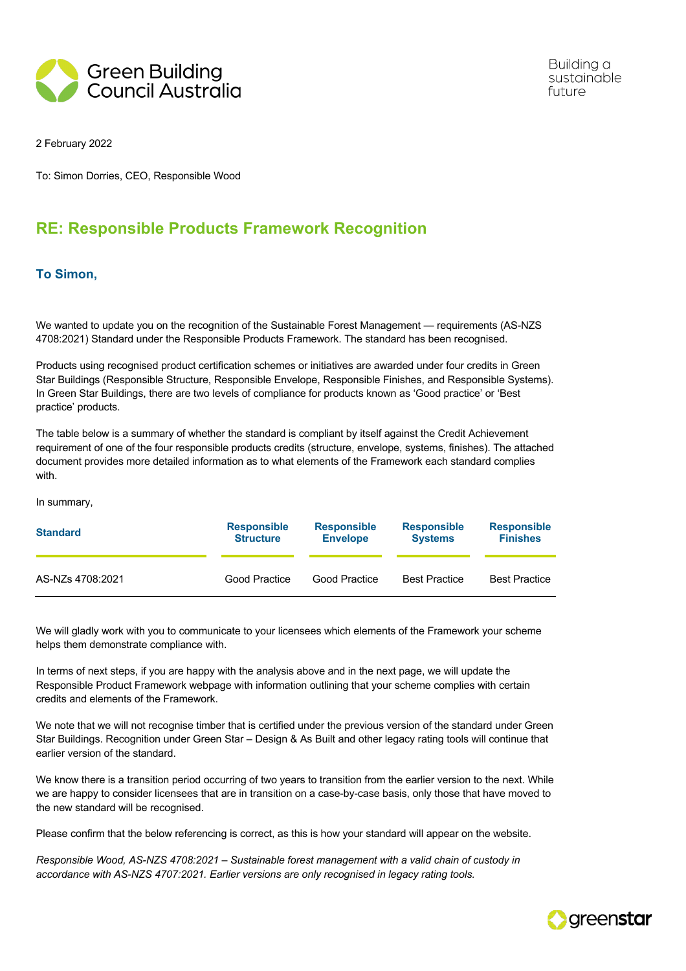

Building a sustainable future

2 February 2022

To: Simon Dorries, CEO, Responsible Wood

## **RE: Responsible Products Framework Recognition**

## **To Simon,**

We wanted to update you on the recognition of the Sustainable Forest Management — requirements (AS-NZS) 4708:2021) Standard under the Responsible Products Framework. The standard has been recognised.

Products using recognised product certification schemes or initiatives are awarded under four credits in Green Star Buildings (Responsible Structure, Responsible Envelope, Responsible Finishes, and Responsible Systems). In Green Star Buildings, there are two levels of compliance for products known as 'Good practice' or 'Best practice' products.

The table below is a summary of whether the standard is compliant by itself against the Credit Achievement requirement of one of the four responsible products credits (structure, envelope, systems, finishes). The attached document provides more detailed information as to what elements of the Framework each standard complies with.

In summary,

| <b>Standard</b>  | <b>Responsible</b> | <b>Responsible</b> | <b>Responsible</b>   | <b>Responsible</b>   |
|------------------|--------------------|--------------------|----------------------|----------------------|
|                  | <b>Structure</b>   | <b>Envelope</b>    | <b>Systems</b>       | <b>Finishes</b>      |
| AS-NZs 4708:2021 | Good Practice      | Good Practice      | <b>Best Practice</b> | <b>Best Practice</b> |

We will gladly work with you to communicate to your licensees which elements of the Framework your scheme helps them demonstrate compliance with.

In terms of next steps, if you are happy with the analysis above and in the next page, we will update the Responsible Product Framework webpage with information outlining that your scheme complies with certain credits and elements of the Framework.

We note that we will not recognise timber that is certified under the previous version of the standard under Green Star Buildings. Recognition under Green Star – Design & As Built and other legacy rating tools will continue that earlier version of the standard.

We know there is a transition period occurring of two years to transition from the earlier version to the next. While we are happy to consider licensees that are in transition on a case-by-case basis, only those that have moved to the new standard will be recognised.

Please confirm that the below referencing is correct, as this is how your standard will appear on the website.

*Responsible Wood, AS-NZS 4708:2021 – Sustainable forest management with a valid chain of custody in accordance with AS-NZS 4707:2021. Earlier versions are only recognised in legacy rating tools.*

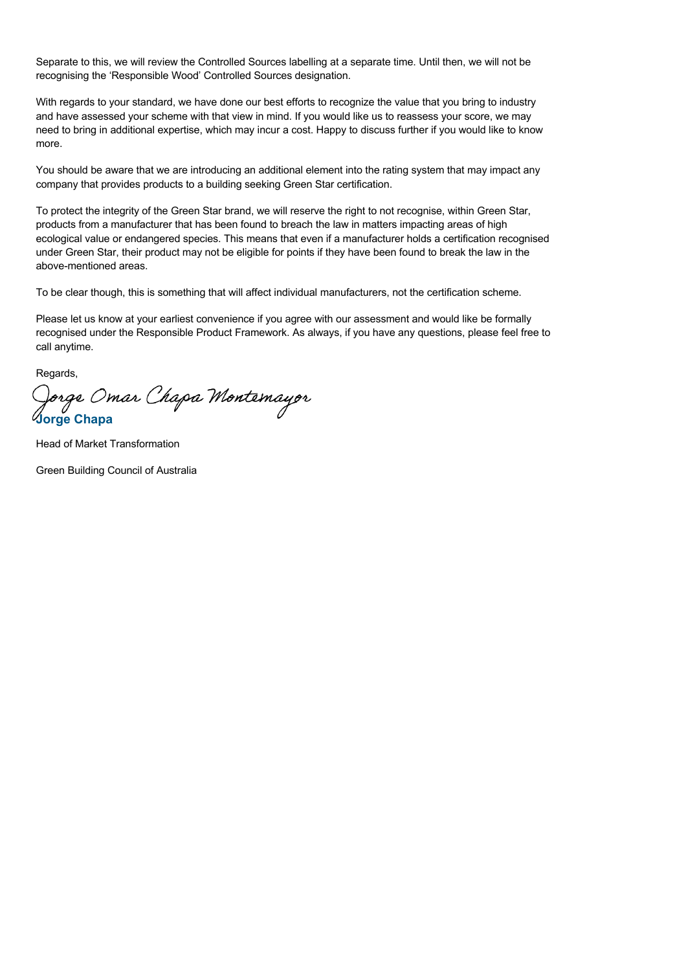Separate to this, we will review the Controlled Sources labelling at a separate time. Until then, we will not be recognising the 'Responsible Wood' Controlled Sources designation.

With regards to your standard, we have done our best efforts to recognize the value that you bring to industry and have assessed your scheme with that view in mind. If you would like us to reassess your score, we may need to bring in additional expertise, which may incur a cost. Happy to discuss further if you would like to know more.

You should be aware that we are introducing an additional element into the rating system that may impact any company that provides products to a building seeking Green Star certification.

To protect the integrity of the Green Star brand, we will reserve the right to not recognise, within Green Star, products from a manufacturer that has been found to breach the law in matters impacting areas of high ecological value or endangered species. This means that even if a manufacturer holds a certification recognised under Green Star, their product may not be eligible for points if they have been found to break the law in the above-mentioned areas.

To be clear though, this is something that will affect individual manufacturers, not the certification scheme.

Please let us know at your earliest convenience if you agree with our assessment and would like be formally recognised under the Responsible Product Framework. As always, if you have any questions, please feel free to call anytime.

Regards,

Jor*ge Omar Chapa Montemayor*<br>Iorge Chapa

Head of Market Transformation

Green Building Council of Australia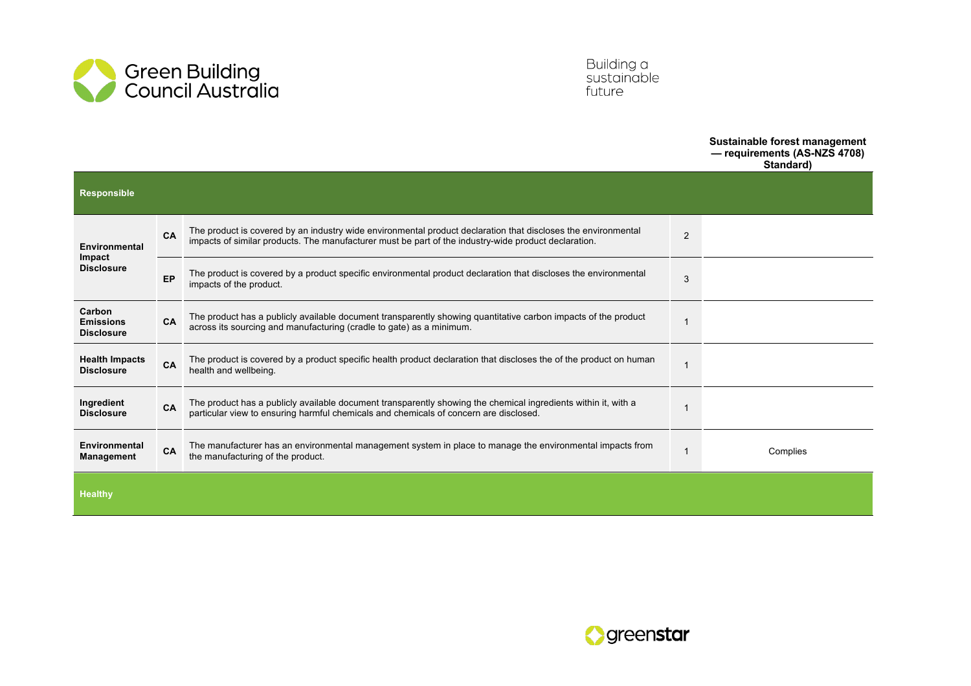

Building a<br>sustainable future

## **Sustainable forest management**

**— requirements (AS-NZS 4708) Standard)**

| <b>Responsible</b>                              |           |                                                                                                                                                                                                                       |                |          |
|-------------------------------------------------|-----------|-----------------------------------------------------------------------------------------------------------------------------------------------------------------------------------------------------------------------|----------------|----------|
| Environmental<br>Impact<br><b>Disclosure</b>    | CA        | The product is covered by an industry wide environmental product declaration that discloses the environmental<br>impacts of similar products. The manufacturer must be part of the industry-wide product declaration. | $\overline{2}$ |          |
|                                                 | EP        | The product is covered by a product specific environmental product declaration that discloses the environmental<br>impacts of the product.                                                                            | 3              |          |
| Carbon<br><b>Emissions</b><br><b>Disclosure</b> | <b>CA</b> | The product has a publicly available document transparently showing quantitative carbon impacts of the product<br>across its sourcing and manufacturing (cradle to gate) as a minimum.                                |                |          |
| <b>Health Impacts</b><br><b>Disclosure</b>      | CA        | The product is covered by a product specific health product declaration that discloses the of the product on human<br>health and wellbeing.                                                                           |                |          |
| Ingredient<br><b>Disclosure</b>                 | CA        | The product has a publicly available document transparently showing the chemical ingredients within it, with a<br>particular view to ensuring harmful chemicals and chemicals of concern are disclosed.               |                |          |
| Environmental<br><b>Management</b>              | CA        | The manufacturer has an environmental management system in place to manage the environmental impacts from<br>the manufacturing of the product.                                                                        |                | Complies |
| <b>Healthy</b>                                  |           |                                                                                                                                                                                                                       |                |          |

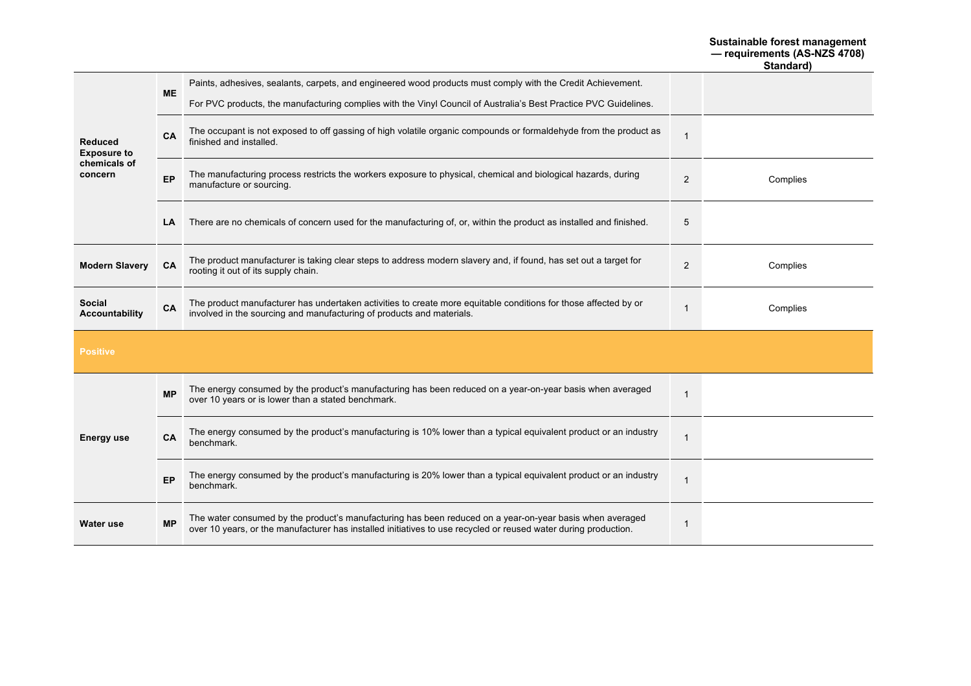## **Sustainable forest management — requirements (AS-NZS 4708)**

**Standard)**

| <b>Reduced</b><br><b>Exposure to</b><br>chemicals of<br>concern | <b>ME</b> | Paints, adhesives, sealants, carpets, and engineered wood products must comply with the Credit Achievement.                                                                                                                 |                |          |
|-----------------------------------------------------------------|-----------|-----------------------------------------------------------------------------------------------------------------------------------------------------------------------------------------------------------------------------|----------------|----------|
|                                                                 |           | For PVC products, the manufacturing complies with the Vinyl Council of Australia's Best Practice PVC Guidelines.                                                                                                            |                |          |
|                                                                 | CA        | The occupant is not exposed to off gassing of high volatile organic compounds or formaldehyde from the product as<br>finished and installed.                                                                                | $\mathbf 1$    |          |
|                                                                 | EP        | The manufacturing process restricts the workers exposure to physical, chemical and biological hazards, during<br>manufacture or sourcing.                                                                                   | 2              | Complies |
|                                                                 | LA        | There are no chemicals of concern used for the manufacturing of, or, within the product as installed and finished.                                                                                                          | 5              |          |
| <b>Modern Slavery</b>                                           | CA        | The product manufacturer is taking clear steps to address modern slavery and, if found, has set out a target for<br>rooting it out of its supply chain.                                                                     | 2              | Complies |
| <b>Social</b><br><b>Accountability</b>                          | CA        | The product manufacturer has undertaken activities to create more equitable conditions for those affected by or<br>involved in the sourcing and manufacturing of products and materials.                                    | -1             | Complies |
| <b>Positive</b>                                                 |           |                                                                                                                                                                                                                             |                |          |
| <b>Energy use</b>                                               | <b>MP</b> | The energy consumed by the product's manufacturing has been reduced on a year-on-year basis when averaged<br>over 10 years or is lower than a stated benchmark.                                                             | $\overline{1}$ |          |
|                                                                 | <b>CA</b> | The energy consumed by the product's manufacturing is 10% lower than a typical equivalent product or an industry<br>benchmark.                                                                                              | $\overline{1}$ |          |
|                                                                 | EP        | The energy consumed by the product's manufacturing is 20% lower than a typical equivalent product or an industry<br>benchmark.                                                                                              | $\mathbf 1$    |          |
| Water use                                                       | <b>MP</b> | The water consumed by the product's manufacturing has been reduced on a year-on-year basis when averaged<br>over 10 years, or the manufacturer has installed initiatives to use recycled or reused water during production. | $\mathbf 1$    |          |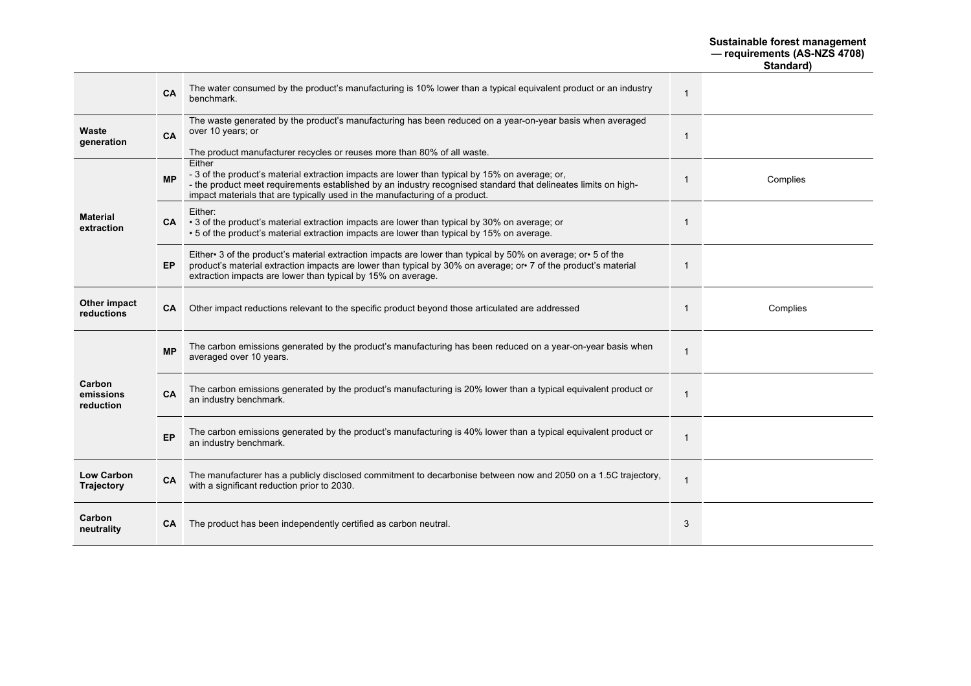| Sustainable forest management |  |
|-------------------------------|--|
| - requirements (AS-NZS 4708)  |  |

**Standard)**

|                                  | CA        | The water consumed by the product's manufacturing is 10% lower than a typical equivalent product or an industry<br>benchmark.                                                                                                                                                                             | $\overline{1}$ |          |
|----------------------------------|-----------|-----------------------------------------------------------------------------------------------------------------------------------------------------------------------------------------------------------------------------------------------------------------------------------------------------------|----------------|----------|
| Waste<br>generation              | CA        | The waste generated by the product's manufacturing has been reduced on a year-on-year basis when averaged<br>over 10 years; or<br>The product manufacturer recycles or reuses more than 80% of all waste.                                                                                                 | 1              |          |
| <b>Material</b><br>extraction    | <b>MP</b> | Either<br>- 3 of the product's material extraction impacts are lower than typical by 15% on average; or,<br>- the product meet requirements established by an industry recognised standard that delineates limits on high-<br>impact materials that are typically used in the manufacturing of a product. | -1             | Complies |
|                                  |           | Either:<br>$CA \rightarrow 3$ of the product's material extraction impacts are lower than typical by 30% on average; or<br>• 5 of the product's material extraction impacts are lower than typical by 15% on average.                                                                                     | -1             |          |
|                                  | EP.       | Either 3 of the product's material extraction impacts are lower than typical by 50% on average; or 5 of the<br>product's material extraction impacts are lower than typical by 30% on average; or T of the product's material<br>extraction impacts are lower than typical by 15% on average.             | -1             |          |
| Other impact<br>reductions       | <b>CA</b> | Other impact reductions relevant to the specific product beyond those articulated are addressed                                                                                                                                                                                                           |                | Complies |
| Carbon<br>emissions<br>reduction | <b>MP</b> | The carbon emissions generated by the product's manufacturing has been reduced on a year-on-year basis when<br>averaged over 10 years.                                                                                                                                                                    | $\overline{1}$ |          |
|                                  | <b>CA</b> | The carbon emissions generated by the product's manufacturing is 20% lower than a typical equivalent product or<br>an industry benchmark.                                                                                                                                                                 | $\mathbf 1$    |          |
|                                  | EP        | The carbon emissions generated by the product's manufacturing is 40% lower than a typical equivalent product or<br>an industry benchmark.                                                                                                                                                                 | -1             |          |
| <b>Low Carbon</b><br>Trajectory  | CA        | The manufacturer has a publicly disclosed commitment to decarbonise between now and 2050 on a 1.5C trajectory,<br>with a significant reduction prior to 2030.                                                                                                                                             | $\overline{1}$ |          |
| Carbon<br>neutrality             | СA        | The product has been independently certified as carbon neutral.                                                                                                                                                                                                                                           | 3              |          |